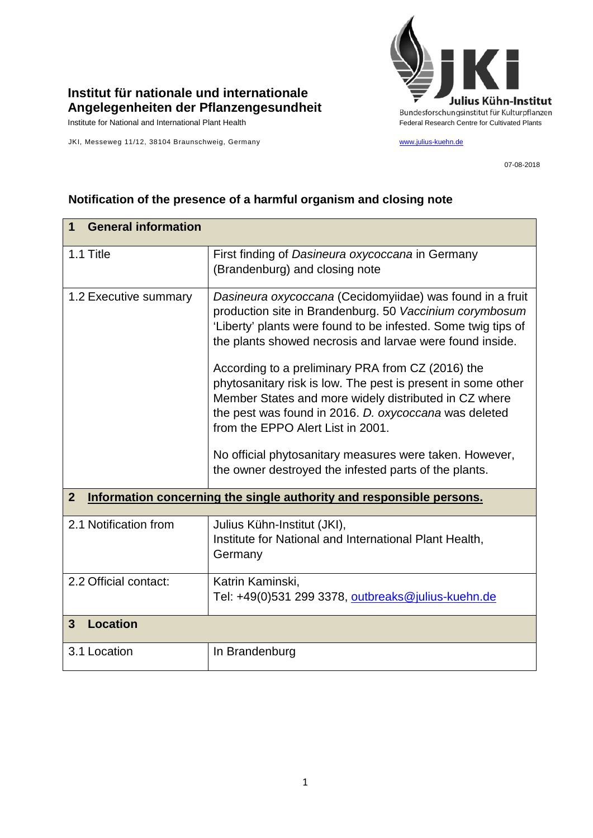

## **Institut für nationale und internationale Angelegenheiten der Pflanzengesundheit**

Institute for National and International Plant Health Federal Research Centre for Cultivated Plants

JKI, Messeweg 11/12, 38104 Braunschweig, Germany [www.julius-kuehn.de](http://www.julius-kuehn.de/)

07-08-2018

## **1 General information** 1.1 Title First finding of *Dasineura oxycoccana* in Germany (Brandenburg) and closing note 1.2 Executive summary *Dasineura oxycoccana* (Cecidomyiidae) was found in a fruit production site in Brandenburg. 50 *Vaccinium corymbosum* 'Liberty' plants were found to be infested. Some twig tips of the plants showed necrosis and larvae were found inside. According to a preliminary PRA from CZ (2016) the phytosanitary risk is low. The pest is present in some other Member States and more widely distributed in CZ where the pest was found in 2016. *D. oxycoccana* was deleted from the EPPO Alert List in 2001. No official phytosanitary measures were taken. However, the owner destroyed the infested parts of the plants. **2 Information concerning the single authority and responsible persons.** 2.1 Notification from Julius Kühn-Institut (JKI), Institute for National and International Plant Health, **Germany** 2.2 Official contact: Katrin Kaminski, Tel: +49(0)531 299 3378, [outbreaks@julius-kuehn.de](mailto:outbreaks@julius-kuehn.de) **3 Location**  3.1 Location | In Brandenburg

## **Notification of the presence of a harmful organism and closing note**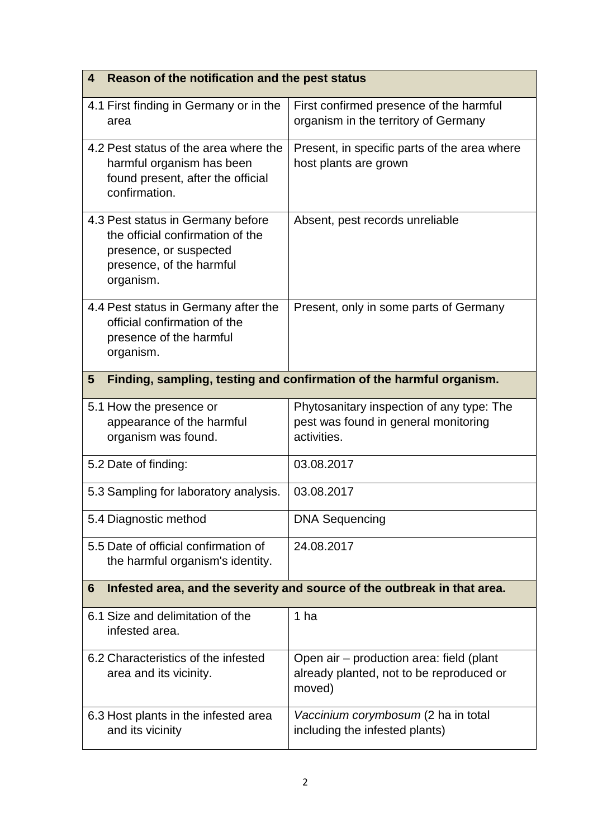| Reason of the notification and the pest status<br>4                                                                                      |                                                                                                  |
|------------------------------------------------------------------------------------------------------------------------------------------|--------------------------------------------------------------------------------------------------|
| 4.1 First finding in Germany or in the<br>area                                                                                           | First confirmed presence of the harmful<br>organism in the territory of Germany                  |
| 4.2 Pest status of the area where the<br>harmful organism has been<br>found present, after the official<br>confirmation.                 | Present, in specific parts of the area where<br>host plants are grown                            |
| 4.3 Pest status in Germany before<br>the official confirmation of the<br>presence, or suspected<br>presence, of the harmful<br>organism. | Absent, pest records unreliable                                                                  |
| 4.4 Pest status in Germany after the<br>official confirmation of the<br>presence of the harmful<br>organism.                             | Present, only in some parts of Germany                                                           |
| Finding, sampling, testing and confirmation of the harmful organism.<br>5                                                                |                                                                                                  |
| 5.1 How the presence or<br>appearance of the harmful<br>organism was found.                                                              | Phytosanitary inspection of any type: The<br>pest was found in general monitoring<br>activities. |
| 5.2 Date of finding:                                                                                                                     | 03.08.2017                                                                                       |
| 5.3 Sampling for laboratory analysis.                                                                                                    | 03.08.2017                                                                                       |
| 5.4 Diagnostic method                                                                                                                    | <b>DNA Sequencing</b>                                                                            |
| 5.5 Date of official confirmation of<br>the harmful organism's identity.                                                                 | 24.08.2017                                                                                       |
| Infested area, and the severity and source of the outbreak in that area.<br>6                                                            |                                                                                                  |
| 6.1 Size and delimitation of the<br>infested area.                                                                                       | 1 ha                                                                                             |
| 6.2 Characteristics of the infested<br>area and its vicinity.                                                                            | Open air – production area: field (plant<br>already planted, not to be reproduced or<br>moved)   |
| 6.3 Host plants in the infested area<br>and its vicinity                                                                                 | Vaccinium corymbosum (2 ha in total<br>including the infested plants)                            |